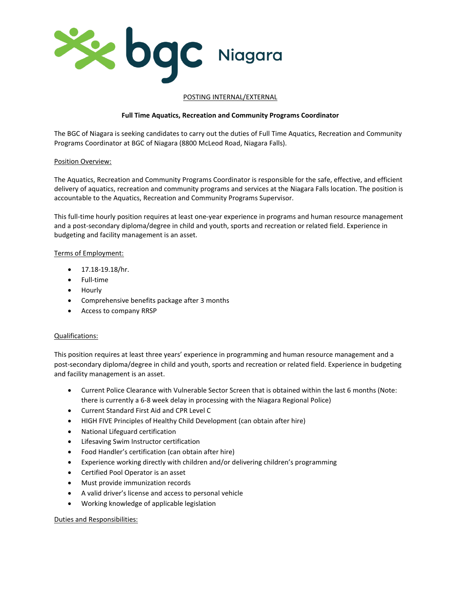

### POSTING INTERNAL/EXTERNAL

# **Full Time Aquatics, Recreation and Community Programs Coordinator**

The BGC of Niagara is seeking candidates to carry out the duties of Full Time Aquatics, Recreation and Community Programs Coordinator at BGC of Niagara (8800 McLeod Road, Niagara Falls).

## Position Overview:

The Aquatics, Recreation and Community Programs Coordinator is responsible for the safe, effective, and efficient delivery of aquatics, recreation and community programs and services at the Niagara Falls location. The position is accountable to the Aquatics, Recreation and Community Programs Supervisor.

This full-time hourly position requires at least one-year experience in programs and human resource management and a post-secondary diploma/degree in child and youth, sports and recreation or related field. Experience in budgeting and facility management is an asset.

#### Terms of Employment:

- 17.18-19.18/hr.
- Full-time
- Hourly
- Comprehensive benefits package after 3 months
- Access to company RRSP

#### Qualifications:

This position requires at least three years' experience in programming and human resource management and a post-secondary diploma/degree in child and youth, sports and recreation or related field. Experience in budgeting and facility management is an asset.

- Current Police Clearance with Vulnerable Sector Screen that is obtained within the last 6 months (Note: there is currently a 6-8 week delay in processing with the Niagara Regional Police)
- Current Standard First Aid and CPR Level C
- HIGH FIVE Principles of Healthy Child Development (can obtain after hire)
- National Lifeguard certification
- Lifesaving Swim Instructor certification
- Food Handler's certification (can obtain after hire)
- Experience working directly with children and/or delivering children's programming
- Certified Pool Operator is an asset
- Must provide immunization records
- A valid driver's license and access to personal vehicle
- Working knowledge of applicable legislation

#### Duties and Responsibilities: